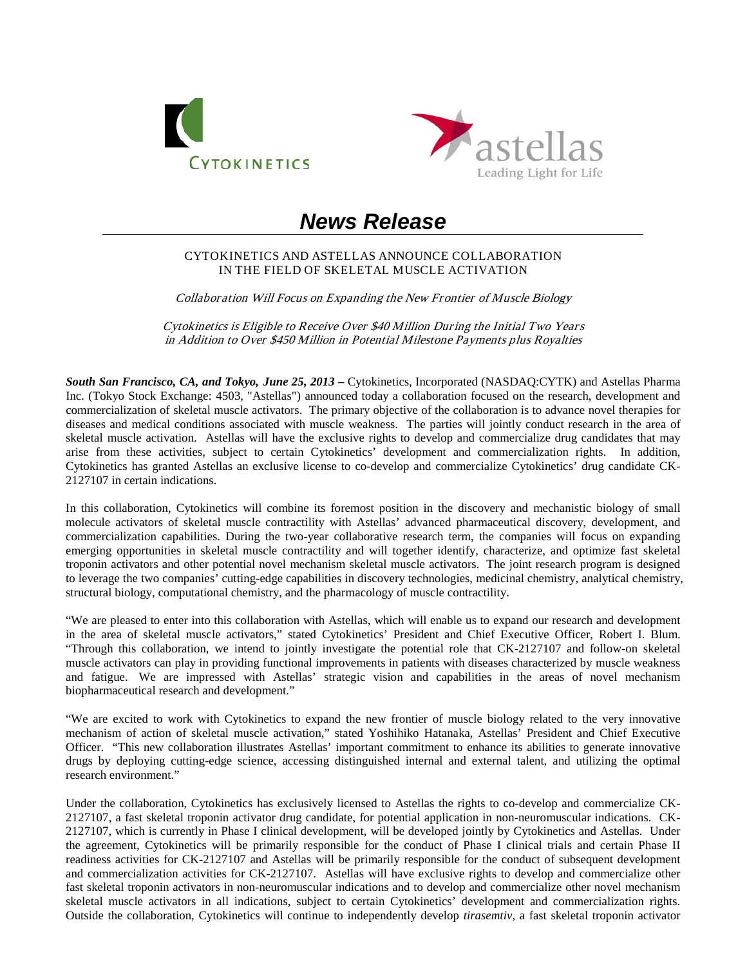



# *News Release*

# CYTOKINETICS AND ASTELLAS ANNOUNCE COLLABORATION IN THE FIELD OF SKELETAL MUSCLE ACTIVATION

Collaboration Will Focus on Expanding the New Frontier of Muscle Biology

Cytokinetics is Eligible to Receive Over \$40 Million During the Initial Two Years in Addition to Over \$450 Million in Potential Milestone Payments plus Royalties

*South San Francisco, CA, and Tokyo, June 25, 2013* **–** Cytokinetics, Incorporated (NASDAQ:CYTK) and Astellas Pharma Inc. (Tokyo Stock Exchange: 4503, "Astellas") announced today a collaboration focused on the research, development and commercialization of skeletal muscle activators. The primary objective of the collaboration is to advance novel therapies for diseases and medical conditions associated with muscle weakness. The parties will jointly conduct research in the area of skeletal muscle activation. Astellas will have the exclusive rights to develop and commercialize drug candidates that may arise from these activities, subject to certain Cytokinetics' development and commercialization rights. In addition, Cytokinetics has granted Astellas an exclusive license to co-develop and commercialize Cytokinetics' drug candidate CK-2127107 in certain indications.

In this collaboration, Cytokinetics will combine its foremost position in the discovery and mechanistic biology of small molecule activators of skeletal muscle contractility with Astellas' advanced pharmaceutical discovery, development, and commercialization capabilities. During the two-year collaborative research term, the companies will focus on expanding emerging opportunities in skeletal muscle contractility and will together identify, characterize, and optimize fast skeletal troponin activators and other potential novel mechanism skeletal muscle activators. The joint research program is designed to leverage the two companies' cutting-edge capabilities in discovery technologies, medicinal chemistry, analytical chemistry, structural biology, computational chemistry, and the pharmacology of muscle contractility.

"We are pleased to enter into this collaboration with Astellas, which will enable us to expand our research and development in the area of skeletal muscle activators," stated Cytokinetics' President and Chief Executive Officer, Robert I. Blum. "Through this collaboration, we intend to jointly investigate the potential role that CK-2127107 and follow-on skeletal muscle activators can play in providing functional improvements in patients with diseases characterized by muscle weakness and fatigue. We are impressed with Astellas' strategic vision and capabilities in the areas of novel mechanism biopharmaceutical research and development."

"We are excited to work with Cytokinetics to expand the new frontier of muscle biology related to the very innovative mechanism of action of skeletal muscle activation," stated Yoshihiko Hatanaka, Astellas' President and Chief Executive Officer. "This new collaboration illustrates Astellas' important commitment to enhance its abilities to generate innovative drugs by deploying cutting-edge science, accessing distinguished internal and external talent, and utilizing the optimal research environment."

Under the collaboration, Cytokinetics has exclusively licensed to Astellas the rights to co-develop and commercialize CK-2127107, a fast skeletal troponin activator drug candidate, for potential application in non-neuromuscular indications. CK-2127107, which is currently in Phase I clinical development, will be developed jointly by Cytokinetics and Astellas. Under the agreement, Cytokinetics will be primarily responsible for the conduct of Phase I clinical trials and certain Phase II readiness activities for CK-2127107 and Astellas will be primarily responsible for the conduct of subsequent development and commercialization activities for CK-2127107. Astellas will have exclusive rights to develop and commercialize other fast skeletal troponin activators in non-neuromuscular indications and to develop and commercialize other novel mechanism skeletal muscle activators in all indications, subject to certain Cytokinetics' development and commercialization rights. Outside the collaboration, Cytokinetics will continue to independently develop *tirasemtiv*, a fast skeletal troponin activator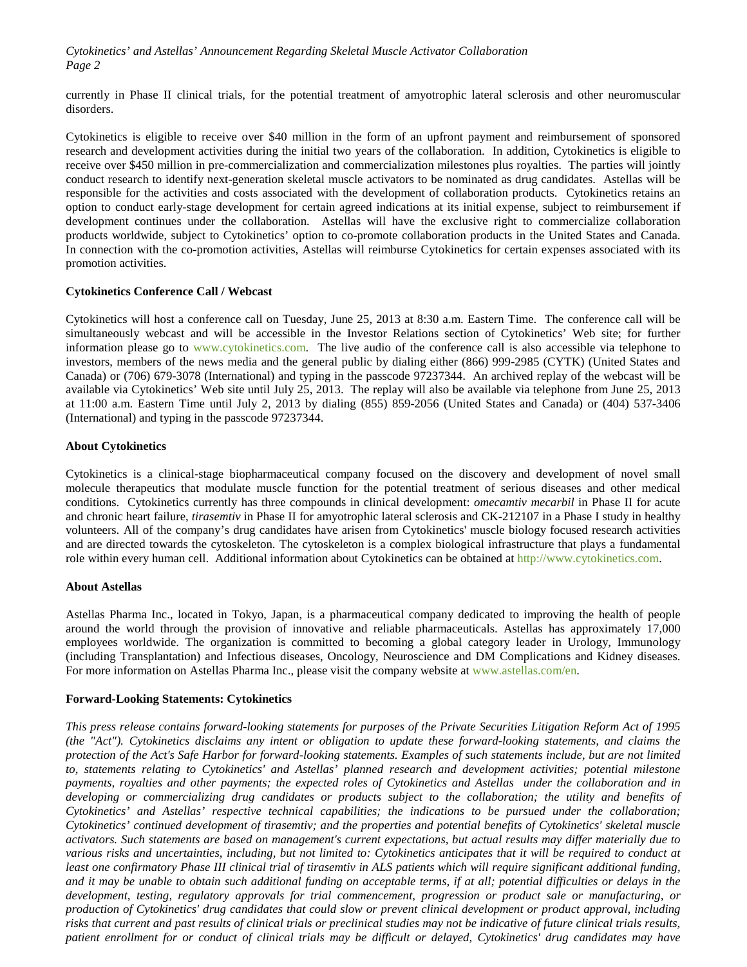*Cytokinetics' and Astellas' Announcement Regarding Skeletal Muscle Activator Collaboration Page 2*

currently in Phase II clinical trials, for the potential treatment of amyotrophic lateral sclerosis and other neuromuscular disorders.

Cytokinetics is eligible to receive over \$40 million in the form of an upfront payment and reimbursement of sponsored research and development activities during the initial two years of the collaboration. In addition, Cytokinetics is eligible to receive over \$450 million in pre-commercialization and commercialization milestones plus royalties. The parties will jointly conduct research to identify next-generation skeletal muscle activators to be nominated as drug candidates. Astellas will be responsible for the activities and costs associated with the development of collaboration products. Cytokinetics retains an option to conduct early-stage development for certain agreed indications at its initial expense, subject to reimbursement if development continues under the collaboration. Astellas will have the exclusive right to commercialize collaboration products worldwide, subject to Cytokinetics' option to co-promote collaboration products in the United States and Canada. In connection with the co-promotion activities, Astellas will reimburse Cytokinetics for certain expenses associated with its promotion activities.

### **Cytokinetics Conference Call / Webcast**

Cytokinetics will host a conference call on Tuesday, June 25, 2013 at 8:30 a.m. Eastern Time. The conference call will be simultaneously webcast and will be accessible in the Investor Relations section of Cytokinetics' Web site; for further information please go to [www.cytokinetics.com.](http://www.cytokinetics.com/) The live audio of the conference call is also accessible via telephone to investors, members of the news media and the general public by dialing either (866) 999-2985 (CYTK) (United States and Canada) or (706) 679-3078 (International) and typing in the passcode 97237344. An archived replay of the webcast will be available via Cytokinetics' Web site until July 25, 2013. The replay will also be available via telephone from June 25, 2013 at 11:00 a.m. Eastern Time until July 2, 2013 by dialing (855) 859-2056 (United States and Canada) or (404) 537-3406 (International) and typing in the passcode 97237344.

### **About Cytokinetics**

Cytokinetics is a clinical-stage biopharmaceutical company focused on the discovery and development of novel small molecule therapeutics that modulate muscle function for the potential treatment of serious diseases and other medical conditions. Cytokinetics currently has three compounds in clinical development: *omecamtiv mecarbil* in Phase II for acute and chronic heart failure, *tirasemtiv* in Phase II for amyotrophic lateral sclerosis and CK-212107 in a Phase I study in healthy volunteers. All of the company's drug candidates have arisen from Cytokinetics' muscle biology focused research activities and are directed towards the cytoskeleton. The cytoskeleton is a complex biological infrastructure that plays a fundamental role within every human cell. Additional information about Cytokinetics can be obtained at [http://www.cytokinetics.com.](http://www.cytokinetics.com/)

# **About Astellas**

Astellas Pharma Inc., located in Tokyo, Japan, is a pharmaceutical company dedicated to improving the health of people around the world through the provision of innovative and reliable pharmaceuticals. Astellas has approximately 17,000 employees worldwide. The organization is committed to becoming a global category leader in Urology, Immunology (including Transplantation) and Infectious diseases, Oncology, Neuroscience and DM Complications and Kidney diseases. For more information on Astellas Pharma Inc., please visit the company website at [www.astellas.com/en.](http://www.astellas.com/en)

#### **Forward-Looking Statements: Cytokinetics**

*This press release contains forward-looking statements for purposes of the Private Securities Litigation Reform Act of 1995 (the "Act"). Cytokinetics disclaims any intent or obligation to update these forward-looking statements, and claims the protection of the Act's Safe Harbor for forward-looking statements. Examples of such statements include, but are not limited to, statements relating to Cytokinetics' and Astellas' planned research and development activities; potential milestone payments, royalties and other payments; the expected roles of Cytokinetics and Astellas under the collaboration and in developing or commercializing drug candidates or products subject to the collaboration; the utility and benefits of Cytokinetics' and Astellas' respective technical capabilities; the indications to be pursued under the collaboration; Cytokinetics' continued development of tirasemtiv; and the properties and potential benefits of Cytokinetics' skeletal muscle activators. Such statements are based on management's current expectations, but actual results may differ materially due to various risks and uncertainties, including, but not limited to: Cytokinetics anticipates that it will be required to conduct at least one confirmatory Phase III clinical trial of tirasemtiv in ALS patients which will require significant additional funding, and it may be unable to obtain such additional funding on acceptable terms, if at all; potential difficulties or delays in the development, testing, regulatory approvals for trial commencement, progression or product sale or manufacturing, or production of Cytokinetics' drug candidates that could slow or prevent clinical development or product approval, including risks that current and past results of clinical trials or preclinical studies may not be indicative of future clinical trials results, patient enrollment for or conduct of clinical trials may be difficult or delayed, Cytokinetics' drug candidates may have*